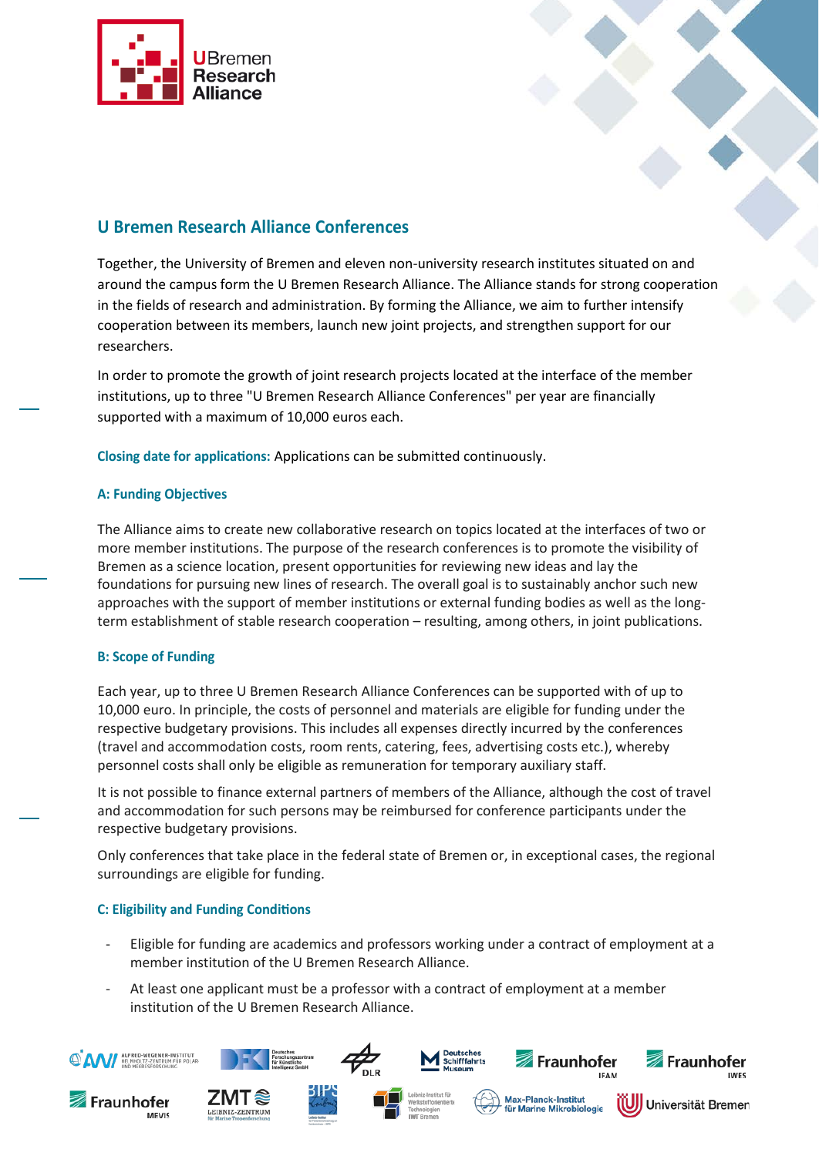



# **U Bremen Research Alliance Conferences**

Together, the University of Bremen and eleven non-university research institutes situated on and around the campus form the U Bremen Research Alliance. The Alliance stands for strong cooperation in the fields of research and administration. By forming the Alliance, we aim to further intensify cooperation between its members, launch new joint projects, and strengthen support for our researchers.

In order to promote the growth of joint research projects located at the interface of the member institutions, up to three "U Bremen Research Alliance Conferences" per year are financially supported with a maximum of 10,000 euros each.

**Closing date for applications:** Applications can be submitted continuously.

## **A: Funding Objectives**

The Alliance aims to create new collaborative research on topics located at the interfaces of two or more member institutions. The purpose of the research conferences is to promote the visibility of Bremen as a science location, present opportunities for reviewing new ideas and lay the foundations for pursuing new lines of research. The overall goal is to sustainably anchor such new approaches with the support of member institutions or external funding bodies as well as the longterm establishment of stable research cooperation – resulting, among others, in joint publications.

## **B: Scope of Funding**

Each year, up to three U Bremen Research Alliance Conferences can be supported with of up to 10,000 euro. In principle, the costs of personnel and materials are eligible for funding under the respective budgetary provisions. This includes all expenses directly incurred by the conferences (travel and accommodation costs, room rents, catering, fees, advertising costs etc.), whereby personnel costs shall only be eligible as remuneration for temporary auxiliary staff.

It is not possible to finance external partners of members of the Alliance, although the cost of travel and accommodation for such persons may be reimbursed for conference participants under the respective budgetary provisions.

Only conferences that take place in the federal state of Bremen or, in exceptional cases, the regional surroundings are eligible for funding.

## **C: Eligibility and Funding Conditions**

- Eligible for funding are academics and professors working under a contract of employment at a member institution of the U Bremen Research Alliance.
- At least one applicant must be a professor with a contract of employment at a member institution of the U Bremen Research Alliance.

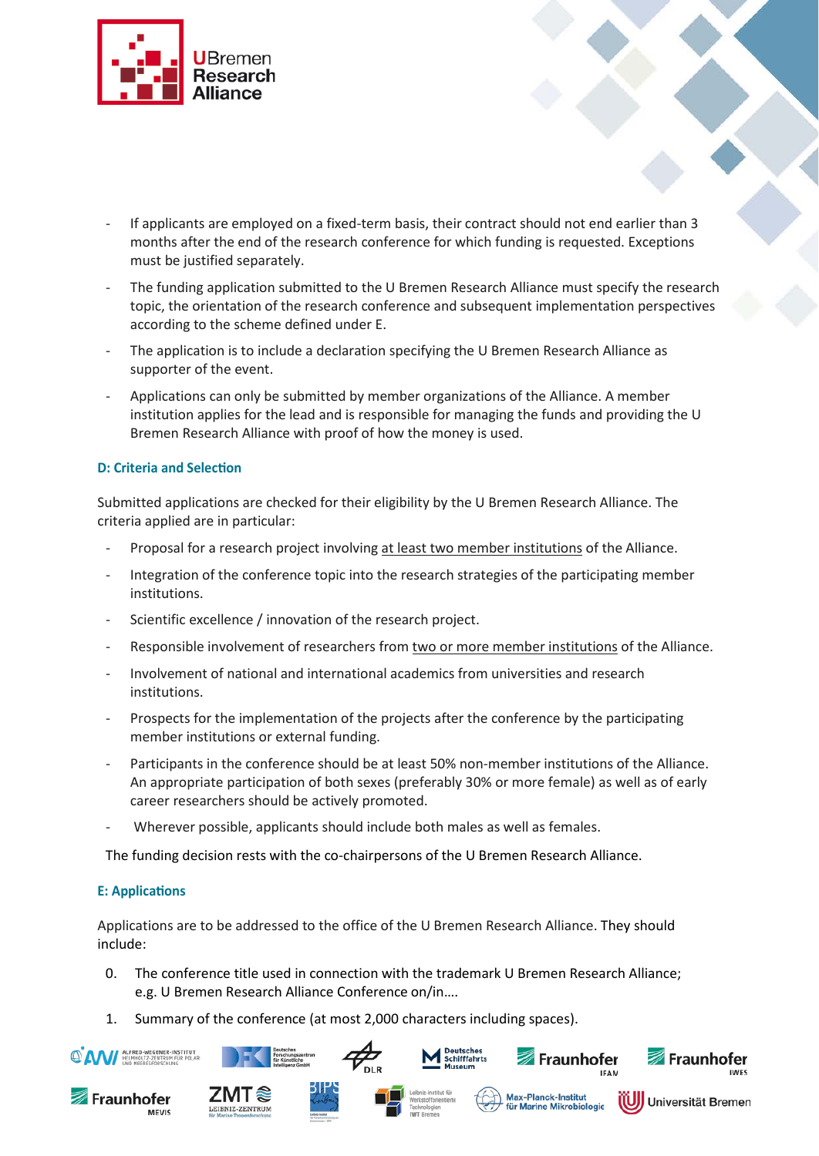

- If applicants are employed on a fixed-term basis, their contract should not end earlier than 3 months after the end of the research conference for which funding is requested. Exceptions must be justified separately.
- The funding application submitted to the U Bremen Research Alliance must specify the research topic, the orientation of the research conference and subsequent implementation perspectives according to the scheme defined under E.
- The application is to include a declaration specifying the U Bremen Research Alliance as supporter of the event.
- Applications can only be submitted by member organizations of the Alliance. A member institution applies for the lead and is responsible for managing the funds and providing the U Bremen Research Alliance with proof of how the money is used.

## **D: Criteria and Selection**

Submitted applications are checked for their eligibility by the U Bremen Research Alliance. The criteria applied are in particular:

- Proposal for a research project involving at least two member institutions of the Alliance.
- Integration of the conference topic into the research strategies of the participating member institutions.
- Scientific excellence / innovation of the research project.
- Responsible involvement of researchers from two or more member institutions of the Alliance.
- Involvement of national and international academics from universities and research institutions.
- Prospects for the implementation of the projects after the conference by the participating member institutions or external funding.
- Participants in the conference should be at least 50% non-member institutions of the Alliance. An appropriate participation of both sexes (preferably 30% or more female) as well as of early career researchers should be actively promoted.
- Wherever possible, applicants should include both males as well as females.

The funding decision rests with the co-chairpersons of the U Bremen Research Alliance.

## **E: Applications**

Applications are to be addressed to the office of the U Bremen Research Alliance. They should include:

- 0. The conference title used in connection with the trademark U Bremen Research Alliance; e.g. U Bremen Research Alliance Conference on/in….
- 1. Summary of the conference (at most 2,000 characters including spaces).